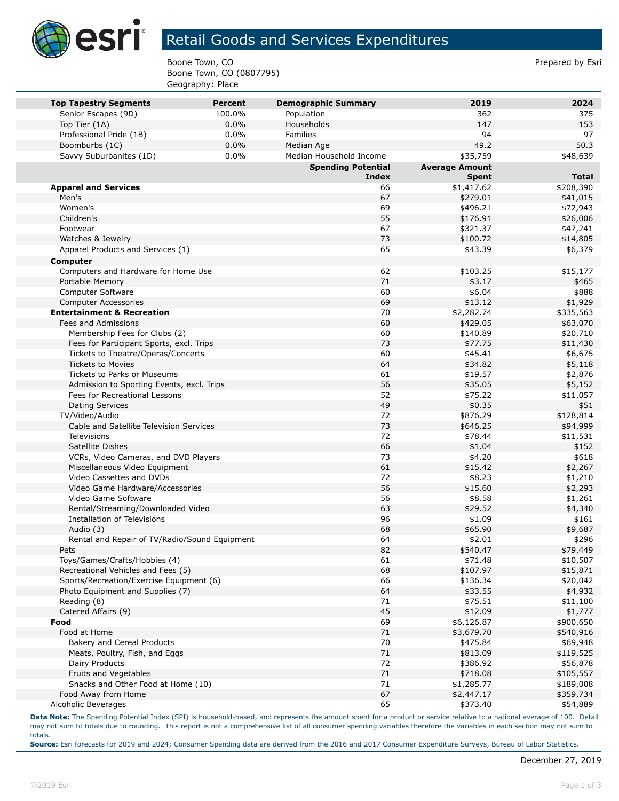

## Retail Goods and Services Expenditures

Boone Town, CO **Prepared by Esri** Prepared by Esri Boone Town, CO (0807795) Geography: Place

| <b>Top Tapestry Segments</b>                          | <b>Percent</b> | <b>Demographic Summary</b> | 2019                  | 2024              |
|-------------------------------------------------------|----------------|----------------------------|-----------------------|-------------------|
| Senior Escapes (9D)                                   | 100.0%         | Population                 | 362                   | 375               |
| Top Tier (1A)                                         | 0.0%           | Households                 | 147                   | 153               |
| Professional Pride (1B)                               | 0.0%           | Families                   | 94                    | 97                |
| Boomburbs (1C)                                        | 0.0%           | Median Age                 | 49.2                  | 50.3              |
| Savvy Suburbanites (1D)                               | 0.0%           | Median Household Income    | \$35,759              | \$48,639          |
|                                                       |                | <b>Spending Potential</b>  | <b>Average Amount</b> |                   |
|                                                       |                | Index                      | <b>Spent</b>          | <b>Total</b>      |
| <b>Apparel and Services</b>                           |                | 66                         | \$1,417.62            | \$208,390         |
| Men's                                                 |                | 67                         | \$279.01              | \$41,015          |
| Women's                                               |                | 69                         | \$496.21              | \$72,943          |
| Children's                                            |                | 55                         | \$176.91              | \$26,006          |
| Footwear                                              |                | 67                         | \$321.37              | \$47,241          |
| Watches & Jewelry                                     |                | 73                         | \$100.72              | \$14,805          |
| Apparel Products and Services (1)                     |                | 65                         | \$43.39               | \$6,379           |
| Computer                                              |                |                            |                       |                   |
| Computers and Hardware for Home Use                   |                | 62                         | \$103.25              | \$15,177          |
| Portable Memory                                       |                | 71                         | \$3.17                | \$465             |
| Computer Software                                     |                | 60                         | \$6.04                | \$888             |
| <b>Computer Accessories</b>                           |                | 69                         | \$13.12               | \$1,929           |
| <b>Entertainment &amp; Recreation</b>                 |                | 70                         | \$2,282.74            | \$335,563         |
| Fees and Admissions                                   |                | 60                         | \$429.05              | \$63,070          |
| Membership Fees for Clubs (2)                         |                | 60                         | \$140.89              | \$20,710          |
| Fees for Participant Sports, excl. Trips              |                | 73                         | \$77.75               | \$11,430          |
| Tickets to Theatre/Operas/Concerts                    |                | 60                         | \$45.41               | \$6,675           |
| <b>Tickets to Movies</b>                              |                | 64                         | \$34.82               | \$5,118           |
| <b>Tickets to Parks or Museums</b>                    |                | 61                         | \$19.57               | \$2,876           |
| Admission to Sporting Events, excl. Trips             |                | 56                         | \$35.05               | \$5,152           |
| Fees for Recreational Lessons                         |                | 52                         | \$75.22               | \$11,057          |
| <b>Dating Services</b>                                |                | 49                         | \$0.35                | \$51              |
| TV/Video/Audio                                        |                | 72                         | \$876.29              | \$128,814         |
| Cable and Satellite Television Services               |                | 73                         | \$646.25              | \$94,999          |
| <b>Televisions</b>                                    |                | 72                         | \$78.44               | \$11,531          |
| Satellite Dishes                                      |                | 66                         | \$1.04                | \$152             |
| VCRs, Video Cameras, and DVD Players                  |                | 73                         | \$4.20                | \$618             |
| Miscellaneous Video Equipment                         |                | 61                         | \$15.42               | \$2,267           |
| Video Cassettes and DVDs                              |                | 72                         | \$8.23                | \$1,210           |
| Video Game Hardware/Accessories                       |                | 56                         | \$15.60               | \$2,293           |
| Video Game Software                                   |                | 56                         | \$8.58                | \$1,261           |
| Rental/Streaming/Downloaded Video                     |                | 63                         | \$29.52               | \$4,340           |
| <b>Installation of Televisions</b>                    |                | 96                         | \$1.09                | \$161             |
| Audio (3)                                             |                | 68<br>64                   | \$65.90               | \$9,687           |
| Rental and Repair of TV/Radio/Sound Equipment<br>Pets |                | 82                         | \$2.01<br>\$540.47    | \$296<br>\$79,449 |
| Toys/Games/Crafts/Hobbies (4)                         |                | 61                         | \$71.48               | \$10,507          |
| Recreational Vehicles and Fees (5)                    |                | 68                         | \$107.97              | \$15,871          |
| Sports/Recreation/Exercise Equipment (6)              |                | 66                         | \$136.34              | \$20,042          |
| Photo Equipment and Supplies (7)                      |                | 64                         | \$33.55               | \$4,932           |
| Reading (8)                                           |                | 71                         | \$75.51               | \$11,100          |
| Catered Affairs (9)                                   |                | 45                         | \$12.09               | \$1,777           |
| Food                                                  |                | 69                         | \$6,126.87            | \$900,650         |
| Food at Home                                          |                | 71                         | \$3,679.70            | \$540,916         |
| Bakery and Cereal Products                            |                | 70                         | \$475.84              | \$69,948          |
| Meats, Poultry, Fish, and Eggs                        |                | 71                         | \$813.09              | \$119,525         |
| Dairy Products                                        |                | 72                         | \$386.92              | \$56,878          |
| Fruits and Vegetables                                 |                | 71                         | \$718.08              | \$105,557         |
| Snacks and Other Food at Home (10)                    |                | 71                         | \$1,285.77            | \$189,008         |
| Food Away from Home                                   |                | 67                         | \$2,447.17            | \$359,734         |
| Alcoholic Beverages                                   |                | 65                         | \$373.40              | \$54,889          |
|                                                       |                |                            |                       |                   |

**Data Note:** The Spending Potential Index (SPI) is household-based, and represents the amount spent for a product or service relative to a national average of 100. Detail may not sum to totals due to rounding. This report is not a comprehensive list of all consumer spending variables therefore the variables in each section may not sum to totals.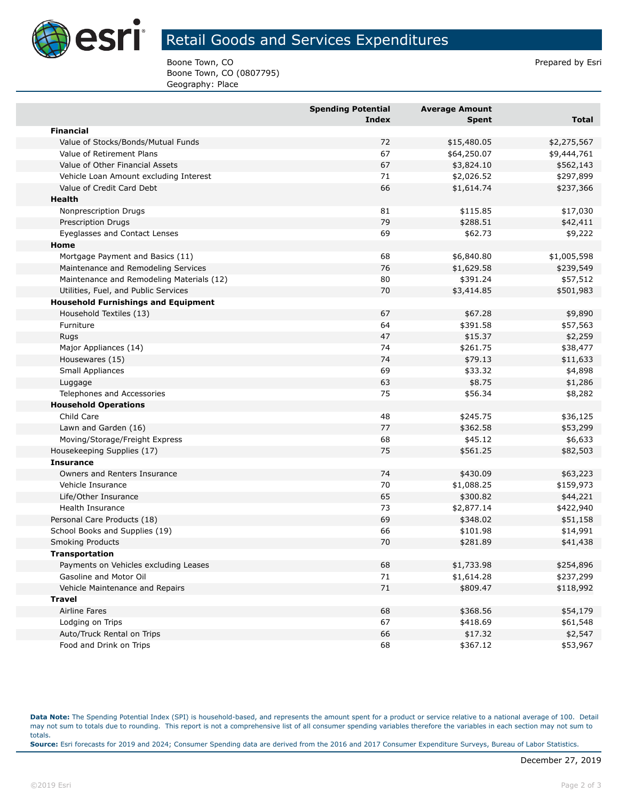

## Retail Goods and Services Expenditures

Boone Town, CO **Prepared by Esri** Prepared by Esri Boone Town, CO (0807795) Geography: Place

|                                            | <b>Spending Potential</b><br><b>Index</b> | <b>Average Amount</b><br>Spent | <b>Total</b> |
|--------------------------------------------|-------------------------------------------|--------------------------------|--------------|
| <b>Financial</b>                           |                                           |                                |              |
| Value of Stocks/Bonds/Mutual Funds         | 72                                        | \$15,480.05                    | \$2,275,567  |
| Value of Retirement Plans                  | 67                                        | \$64,250.07                    | \$9,444,761  |
| Value of Other Financial Assets            | 67                                        | \$3,824.10                     | \$562,143    |
| Vehicle Loan Amount excluding Interest     | 71                                        | \$2,026.52                     | \$297,899    |
| Value of Credit Card Debt                  | 66                                        | \$1,614.74                     | \$237,366    |
| Health                                     |                                           |                                |              |
| Nonprescription Drugs                      | 81                                        | \$115.85                       | \$17,030     |
| <b>Prescription Drugs</b>                  | 79                                        | \$288.51                       | \$42,411     |
| Eyeglasses and Contact Lenses              | 69                                        | \$62.73                        | \$9,222      |
| Home                                       |                                           |                                |              |
| Mortgage Payment and Basics (11)           | 68                                        | \$6,840.80                     | \$1,005,598  |
| Maintenance and Remodeling Services        | 76                                        | \$1,629.58                     | \$239,549    |
| Maintenance and Remodeling Materials (12)  | 80                                        | \$391.24                       | \$57,512     |
| Utilities, Fuel, and Public Services       | 70                                        | \$3,414.85                     | \$501,983    |
| <b>Household Furnishings and Equipment</b> |                                           |                                |              |
| Household Textiles (13)                    | 67                                        | \$67.28                        | \$9,890      |
| Furniture                                  | 64                                        | \$391.58                       | \$57,563     |
| Rugs                                       | 47                                        | \$15.37                        | \$2,259      |
| Major Appliances (14)                      | 74                                        | \$261.75                       | \$38,477     |
| Housewares (15)                            | 74                                        | \$79.13                        | \$11,633     |
| Small Appliances                           | 69                                        | \$33.32                        | \$4,898      |
| Luggage                                    | 63                                        | \$8.75                         | \$1,286      |
| Telephones and Accessories                 | 75                                        | \$56.34                        | \$8,282      |
| <b>Household Operations</b>                |                                           |                                |              |
| Child Care                                 | 48                                        | \$245.75                       | \$36,125     |
| Lawn and Garden (16)                       | 77                                        | \$362.58                       | \$53,299     |
| Moving/Storage/Freight Express             | 68                                        | \$45.12                        | \$6,633      |
| Housekeeping Supplies (17)                 | 75                                        | \$561.25                       | \$82,503     |
| <b>Insurance</b>                           |                                           |                                |              |
| Owners and Renters Insurance               | 74                                        | \$430.09                       | \$63,223     |
| Vehicle Insurance                          | 70                                        | \$1,088.25                     | \$159,973    |
| Life/Other Insurance                       | 65                                        | \$300.82                       | \$44,221     |
| Health Insurance                           | 73                                        | \$2,877.14                     | \$422,940    |
| Personal Care Products (18)                | 69                                        | \$348.02                       | \$51,158     |
| School Books and Supplies (19)             | 66                                        | \$101.98                       | \$14,991     |
| <b>Smoking Products</b>                    | 70                                        | \$281.89                       | \$41,438     |
| Transportation                             |                                           |                                |              |
| Payments on Vehicles excluding Leases      | 68                                        | \$1,733.98                     | \$254,896    |
| Gasoline and Motor Oil                     | 71                                        | \$1,614.28                     | \$237,299    |
| Vehicle Maintenance and Repairs            | 71                                        | \$809.47                       | \$118,992    |
| <b>Travel</b>                              |                                           |                                |              |
| <b>Airline Fares</b>                       | 68                                        | \$368.56                       | \$54,179     |
| Lodging on Trips                           | 67                                        | \$418.69                       | \$61,548     |
| Auto/Truck Rental on Trips                 | 66                                        | \$17.32                        | \$2,547      |
| Food and Drink on Trips                    | 68                                        | \$367.12                       | \$53,967     |

**Data Note:** The Spending Potential Index (SPI) is household-based, and represents the amount spent for a product or service relative to a national average of 100. Detail may not sum to totals due to rounding. This report is not a comprehensive list of all consumer spending variables therefore the variables in each section may not sum to totals. **Source:** Esri forecasts for 2019 and 2024; Consumer Spending data are derived from the 2016 and 2017 Consumer Expenditure Surveys, Bureau of Labor Statistics.